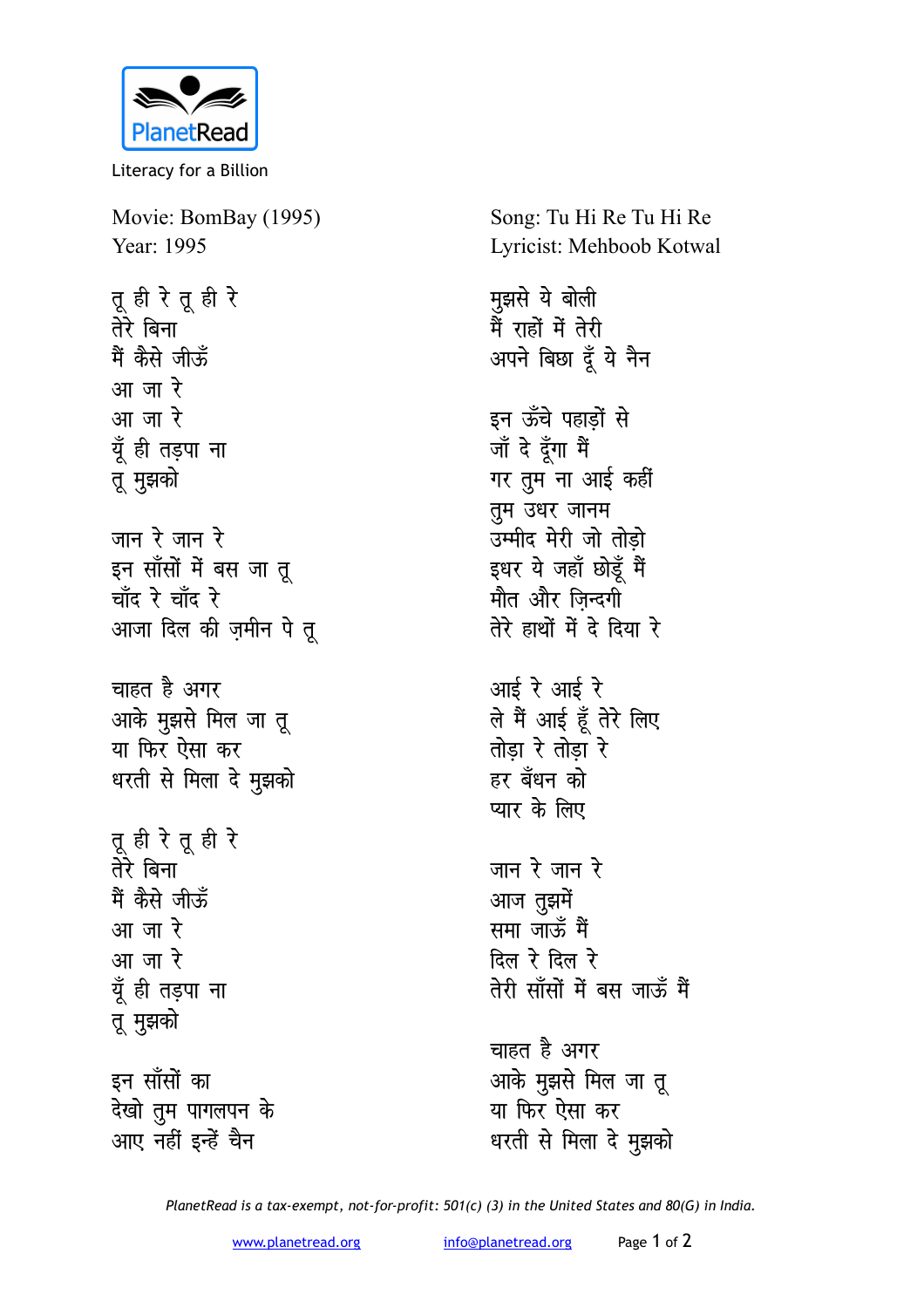

Literacy for a Billion

Movie: BomBay (1995) Year: 1995

तू ही रे तू ही रे तेरे बिना मैं कैसे जीऊँ आ जा रे आ जा रे यूँ ही तड़पा ना तू मुझको जान रे जान रे इन सॉंसों में बस जा तू चाँद रे चाँद रे आजा दिल की ज़मीन पे तू चाहत है अगर आके मुझसे मिल जा तू या फिर ऐसा कर धरती से मिला दे मुझको तू ही रे तू ही रे तेरे बिना मैं कैसे जीऊँ आ जा रे आ जा रे यूँ ही तड़पा ना तू मुझको इन साँसों का देखो तुम पागलपन के आए नहीं इन्हें चैन

Song: Tu Hi Re Tu Hi Re Lyricist: Mehboob Kotwal

मुझसे ये बोली उन्हों में तेरी<br>मैं राहों में तेरी अपने बिछा दूँ ये नैन इन ऊँचे पहाड़ों से जॉं दे दूँगा मैं गर तुम ना आई कहीं तुम उधर जानम उम्मीद मेरी जो तोडो इधर ये जहाँ छोडूँ मैं मौत और जिन्दगी तेरे हाथों में दे दिया रे आई रे आई रे ले मैं आई हूँ तेरे लिए तोडा रे तोडा रे हर बँधन को प्यार के लिए जान रे जान रे आज तुझमें समा जाऊँ मैं दिल रे दिल रे तेरी साँसों में बस जाऊँ मैं चाहत है अगर आके मुझसे मिल जा तू या फिर ऐसा कर धरती से मिला दे मुझको

PlanetRead is a tax-exempt, not-for-profit: 501(c) (3) in the United States and 80(G) in India.